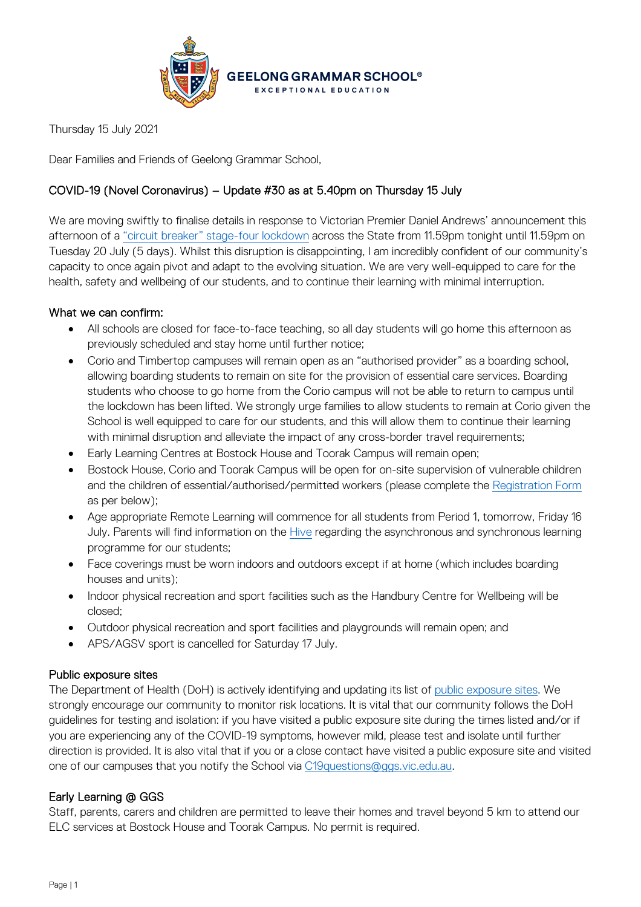

Thursday 15 July 2021

Dear Families and Friends of Geelong Grammar School,

# COVID-19 (Novel Coronavirus) – Update #30 as at 5.40pm on Thursday 15 July

We are moving swiftly to finalise details in response to Victorian Premier Daniel Andrews' announcement this afternoon of a ["circuit breaker" stage-four lockdown](https://www.dhhs.vic.gov.au/coronavirus) across the State from 11.59pm tonight until 11.59pm on Tuesday 20 July (5 days). Whilst this disruption is disappointing, I am incredibly confident of our community's capacity to once again pivot and adapt to the evolving situation. We are very well-equipped to care for the health, safety and wellbeing of our students, and to continue their learning with minimal interruption.

## What we can confirm:

- All schools are closed for face-to-face teaching, so all day students will go home this afternoon as previously scheduled and stay home until further notice;
- Corio and Timbertop campuses will remain open as an "authorised provider" as a boarding school, allowing boarding students to remain on site for the provision of essential care services. Boarding students who choose to go home from the Corio campus will not be able to return to campus until the lockdown has been lifted. We strongly urge families to allow students to remain at Corio given the School is well equipped to care for our students, and this will allow them to continue their learning with minimal disruption and alleviate the impact of any cross-border travel requirements;
- Early Learning Centres at Bostock House and Toorak Campus will remain open;
- Bostock House, Corio and Toorak Campus will be open for on-site supervision of vulnerable children and the children of essential/authorised/permitted workers (please complete the [Registration](https://www.ggs.vic.edu.au/school/our-school/leadership-and-governance/recent-statements/covid-19/supervision-of-remote-learning-ggs) Form as per below);
- Age appropriate Remote Learning will commence for all students from Period 1, tomorrow, Friday 16 July. Parents will find information on th[e Hive](https://hive.ggs.vic.edu.au/) regarding the asynchronous and synchronous learning programme for our students;
- Face coverings must be worn indoors and outdoors except if at home (which includes boarding houses and units);
- Indoor physical recreation and sport facilities such as the Handbury Centre for Wellbeing will be closed;
- Outdoor physical recreation and sport facilities and playgrounds will remain open; and
- APS/AGSV sport is cancelled for Saturday 17 July.

### Public exposure sites

The Department of Health (DoH) is actively identifying and updating its list of [public exposure sites.](https://www.coronavirus.vic.gov.au/exposure-sites) We strongly encourage our community to monitor risk locations. It is vital that our community follows the DoH guidelines for testing and isolation: if you have visited a public exposure site during the times listed and/or if you are experiencing any of the COVID-19 symptoms, however mild, please test and isolate until further direction is provided. It is also vital that if you or a close contact have visited a public exposure site and visited one of our campuses that you notify the School via [C19questions@ggs.vic.edu.au.](mailto:C19questions@ggs.vic.edu.au)

### Early Learning @ GGS

Staff, parents, carers and children are permitted to leave their homes and travel beyond 5 km to attend our ELC services at Bostock House and Toorak Campus. No permit is required.